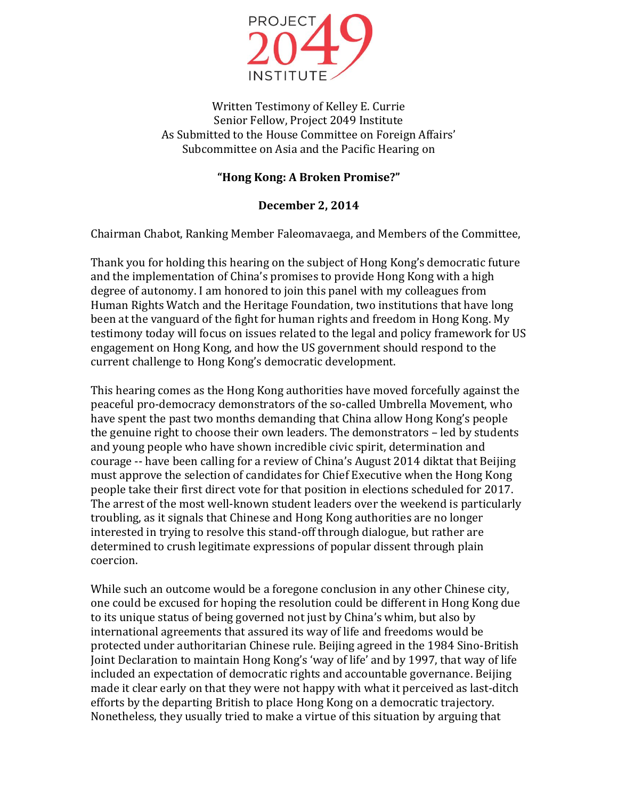

Written Testimony of Kelley E. Currie Senior Fellow, Project 2049 Institute As Submitted to the House Committee on Foreign Affairs' Subcommittee on Asia and the Pacific Hearing on

## **"Hong Kong: A Broken Promise?"**

## **December 2, 2014**

Chairman Chabot, Ranking Member Faleomavaega, and Members of the Committee,

Thank you for holding this hearing on the subject of Hong Kong's democratic future and the implementation of China's promises to provide Hong Kong with a high degree of autonomy. I am honored to join this panel with my colleagues from Human Rights Watch and the Heritage Foundation, two institutions that have long been at the vanguard of the fight for human rights and freedom in Hong Kong. My testimony today will focus on issues related to the legal and policy framework for US engagement on Hong Kong, and how the US government should respond to the current challenge to Hong Kong's democratic development.

This hearing comes as the Hong Kong authorities have moved forcefully against the peaceful pro-democracy demonstrators of the so-called Umbrella Movement, who have spent the past two months demanding that China allow Hong Kong's people the genuine right to choose their own leaders. The demonstrators – led by students and young people who have shown incredible civic spirit, determination and courage -- have been calling for a review of China's August 2014 diktat that Beijing must approve the selection of candidates for Chief Executive when the Hong Kong people take their first direct vote for that position in elections scheduled for 2017. The arrest of the most well-known student leaders over the weekend is particularly troubling, as it signals that Chinese and Hong Kong authorities are no longer interested in trying to resolve this stand-off through dialogue, but rather are determined to crush legitimate expressions of popular dissent through plain coercion.

While such an outcome would be a foregone conclusion in any other Chinese city, one could be excused for hoping the resolution could be different in Hong Kong due to its unique status of being governed not just by China's whim, but also by international agreements that assured its way of life and freedoms would be protected under authoritarian Chinese rule. Beijing agreed in the 1984 Sino-British Joint Declaration to maintain Hong Kong's 'way of life' and by 1997, that way of life included an expectation of democratic rights and accountable governance. Beijing made it clear early on that they were not happy with what it perceived as last-ditch efforts by the departing British to place Hong Kong on a democratic trajectory. Nonetheless, they usually tried to make a virtue of this situation by arguing that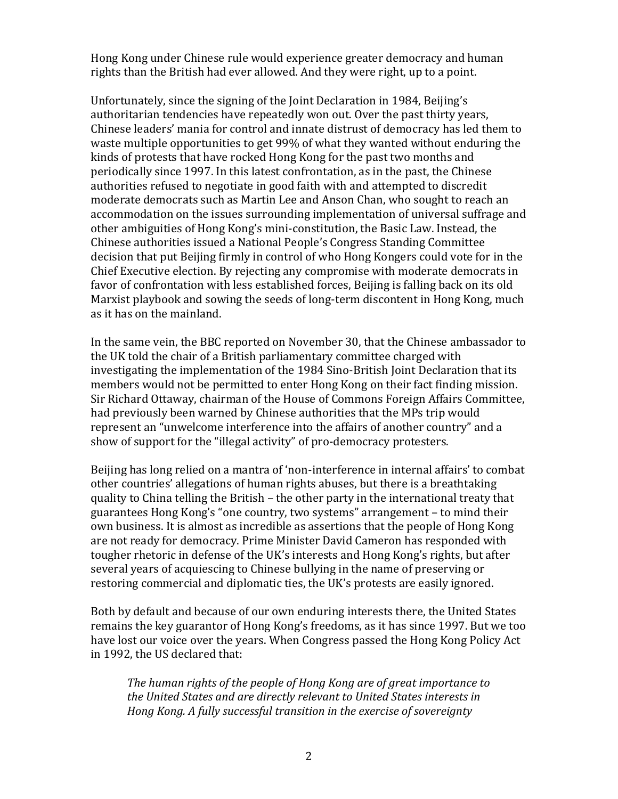Hong Kong under Chinese rule would experience greater democracy and human rights than the British had ever allowed. And they were right, up to a point.

Unfortunately, since the signing of the Joint Declaration in 1984, Beijing's authoritarian tendencies have repeatedly won out. Over the past thirty years, Chinese leaders' mania for control and innate distrust of democracy has led them to waste multiple opportunities to get 99% of what they wanted without enduring the kinds of protests that have rocked Hong Kong for the past two months and periodically since 1997. In this latest confrontation, as in the past, the Chinese authorities refused to negotiate in good faith with and attempted to discredit moderate democrats such as Martin Lee and Anson Chan, who sought to reach an accommodation on the issues surrounding implementation of universal suffrage and other ambiguities of Hong Kong's mini-constitution, the Basic Law. Instead, the Chinese authorities issued a National People's Congress Standing Committee decision that put Beijing firmly in control of who Hong Kongers could vote for in the Chief Executive election. By rejecting any compromise with moderate democrats in favor of confrontation with less established forces, Beijing is falling back on its old Marxist playbook and sowing the seeds of long-term discontent in Hong Kong, much as it has on the mainland.

In the same vein, the BBC reported on November 30, that the Chinese ambassador to the UK told the chair of a British parliamentary committee charged with investigating the implementation of the 1984 Sino-British Joint Declaration that its members would not be permitted to enter Hong Kong on their fact finding mission. Sir Richard Ottaway, chairman of the House of Commons Foreign Affairs Committee, had previously been warned by Chinese authorities that the MPs trip would represent an "unwelcome interference into the affairs of another country" and a show of support for the "illegal activity" of pro-democracy protesters.

Beijing has long relied on a mantra of 'non-interference in internal affairs' to combat other countries' allegations of human rights abuses, but there is a breathtaking quality to China telling the British – the other party in the international treaty that guarantees Hong Kong's "one country, two systems" arrangement – to mind their own business. It is almost as incredible as assertions that the people of Hong Kong are not ready for democracy. Prime Minister David Cameron has responded with tougher rhetoric in defense of the UK's interests and Hong Kong's rights, but after several years of acquiescing to Chinese bullying in the name of preserving or restoring commercial and diplomatic ties, the UK's protests are easily ignored.

Both by default and because of our own enduring interests there, the United States remains the key guarantor of Hong Kong's freedoms, as it has since 1997. But we too have lost our voice over the years. When Congress passed the Hong Kong Policy Act in 1992, the US declared that:

*The human rights of the people of Hong Kong are of great importance to the United States and are directly relevant to United States interests in Hong Kong. A fully successful transition in the exercise of sovereignty*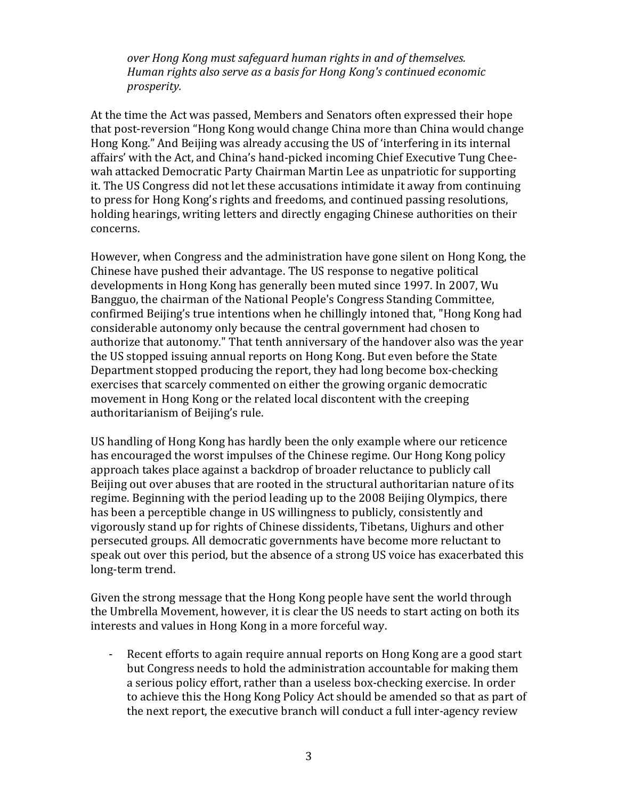*over Hong Kong must safeguard human rights in and of themselves. Human rights also serve as a basis for Hong Kong's continued economic prosperity.* 

At the time the Act was passed, Members and Senators often expressed their hope that post-reversion "Hong Kong would change China more than China would change Hong Kong." And Beijing was already accusing the US of 'interfering in its internal affairs' with the Act, and China's hand-picked incoming Chief Executive Tung Cheewah attacked Democratic Party Chairman Martin Lee as unpatriotic for supporting it. The US Congress did not let these accusations intimidate it away from continuing to press for Hong Kong's rights and freedoms, and continued passing resolutions, holding hearings, writing letters and directly engaging Chinese authorities on their concerns.

However, when Congress and the administration have gone silent on Hong Kong, the Chinese have pushed their advantage. The US response to negative political developments in Hong Kong has generally been muted since 1997. In 2007, Wu Bangguo, the chairman of the National People's Congress Standing Committee, confirmed Beijing's true intentions when he chillingly intoned that, "Hong Kong had considerable autonomy only because the central government had chosen to authorize that autonomy." That tenth anniversary of the handover also was the year the US stopped issuing annual reports on Hong Kong. But even before the State Department stopped producing the report, they had long become box-checking exercises that scarcely commented on either the growing organic democratic movement in Hong Kong or the related local discontent with the creeping authoritarianism of Beijing's rule.

US handling of Hong Kong has hardly been the only example where our reticence has encouraged the worst impulses of the Chinese regime. Our Hong Kong policy approach takes place against a backdrop of broader reluctance to publicly call Beijing out over abuses that are rooted in the structural authoritarian nature of its regime. Beginning with the period leading up to the 2008 Beijing Olympics, there has been a perceptible change in US willingness to publicly, consistently and vigorously stand up for rights of Chinese dissidents, Tibetans, Uighurs and other persecuted groups. All democratic governments have become more reluctant to speak out over this period, but the absence of a strong US voice has exacerbated this long-term trend.

Given the strong message that the Hong Kong people have sent the world through the Umbrella Movement, however, it is clear the US needs to start acting on both its interests and values in Hong Kong in a more forceful way.

- Recent efforts to again require annual reports on Hong Kong are a good start but Congress needs to hold the administration accountable for making them a serious policy effort, rather than a useless box-checking exercise. In order to achieve this the Hong Kong Policy Act should be amended so that as part of the next report, the executive branch will conduct a full inter-agency review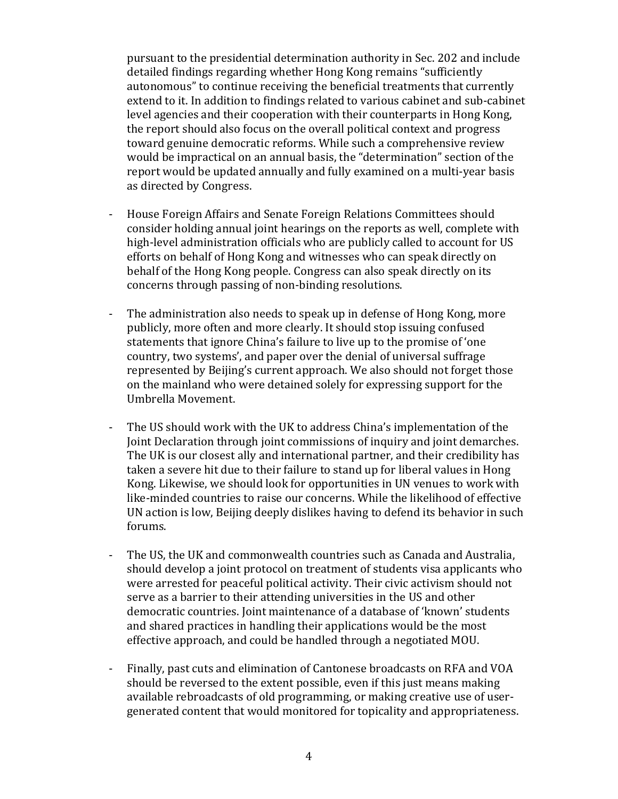pursuant to the presidential determination authority in Sec. 202 and include detailed findings regarding whether Hong Kong remains "sufficiently autonomous" to continue receiving the beneficial treatments that currently extend to it. In addition to findings related to various cabinet and sub-cabinet level agencies and their cooperation with their counterparts in Hong Kong, the report should also focus on the overall political context and progress toward genuine democratic reforms. While such a comprehensive review would be impractical on an annual basis, the "determination" section of the report would be updated annually and fully examined on a multi-year basis as directed by Congress.

- House Foreign Affairs and Senate Foreign Relations Committees should consider holding annual joint hearings on the reports as well, complete with high-level administration officials who are publicly called to account for US efforts on behalf of Hong Kong and witnesses who can speak directly on behalf of the Hong Kong people. Congress can also speak directly on its concerns through passing of non-binding resolutions.
- The administration also needs to speak up in defense of Hong Kong, more publicly, more often and more clearly. It should stop issuing confused statements that ignore China's failure to live up to the promise of 'one country, two systems', and paper over the denial of universal suffrage represented by Beijing's current approach. We also should not forget those on the mainland who were detained solely for expressing support for the Umbrella Movement.
- The US should work with the UK to address China's implementation of the Joint Declaration through joint commissions of inquiry and joint demarches. The UK is our closest ally and international partner, and their credibility has taken a severe hit due to their failure to stand up for liberal values in Hong Kong. Likewise, we should look for opportunities in UN venues to work with like-minded countries to raise our concerns. While the likelihood of effective UN action is low, Beijing deeply dislikes having to defend its behavior in such forums.
- The US, the UK and commonwealth countries such as Canada and Australia, should develop a joint protocol on treatment of students visa applicants who were arrested for peaceful political activity. Their civic activism should not serve as a barrier to their attending universities in the US and other democratic countries. Joint maintenance of a database of 'known' students and shared practices in handling their applications would be the most effective approach, and could be handled through a negotiated MOU.
- Finally, past cuts and elimination of Cantonese broadcasts on RFA and VOA should be reversed to the extent possible, even if this just means making available rebroadcasts of old programming, or making creative use of usergenerated content that would monitored for topicality and appropriateness.